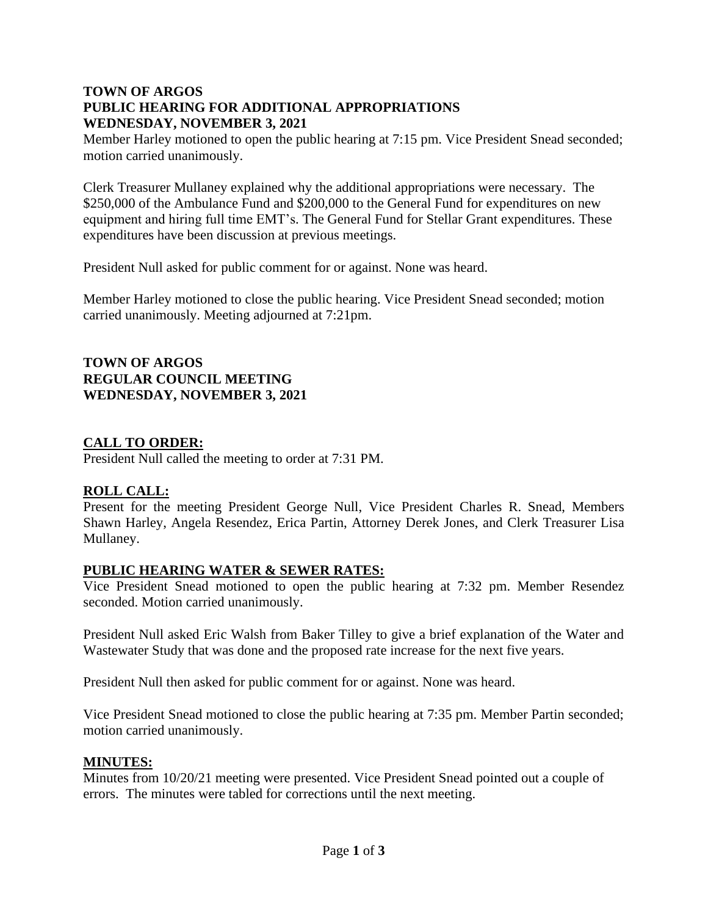## **TOWN OF ARGOS PUBLIC HEARING FOR ADDITIONAL APPROPRIATIONS WEDNESDAY, NOVEMBER 3, 2021**

Member Harley motioned to open the public hearing at 7:15 pm. Vice President Snead seconded; motion carried unanimously.

Clerk Treasurer Mullaney explained why the additional appropriations were necessary. The \$250,000 of the Ambulance Fund and \$200,000 to the General Fund for expenditures on new equipment and hiring full time EMT's. The General Fund for Stellar Grant expenditures. These expenditures have been discussion at previous meetings.

President Null asked for public comment for or against. None was heard.

Member Harley motioned to close the public hearing. Vice President Snead seconded; motion carried unanimously. Meeting adjourned at 7:21pm.

**TOWN OF ARGOS REGULAR COUNCIL MEETING WEDNESDAY, NOVEMBER 3, 2021**

## **CALL TO ORDER:**

President Null called the meeting to order at 7:31 PM.

# **ROLL CALL:**

Present for the meeting President George Null, Vice President Charles R. Snead, Members Shawn Harley, Angela Resendez, Erica Partin, Attorney Derek Jones, and Clerk Treasurer Lisa Mullaney.

# **PUBLIC HEARING WATER & SEWER RATES:**

Vice President Snead motioned to open the public hearing at 7:32 pm. Member Resendez seconded. Motion carried unanimously.

President Null asked Eric Walsh from Baker Tilley to give a brief explanation of the Water and Wastewater Study that was done and the proposed rate increase for the next five years.

President Null then asked for public comment for or against. None was heard.

Vice President Snead motioned to close the public hearing at 7:35 pm. Member Partin seconded; motion carried unanimously.

#### **MINUTES:**

Minutes from 10/20/21 meeting were presented. Vice President Snead pointed out a couple of errors. The minutes were tabled for corrections until the next meeting.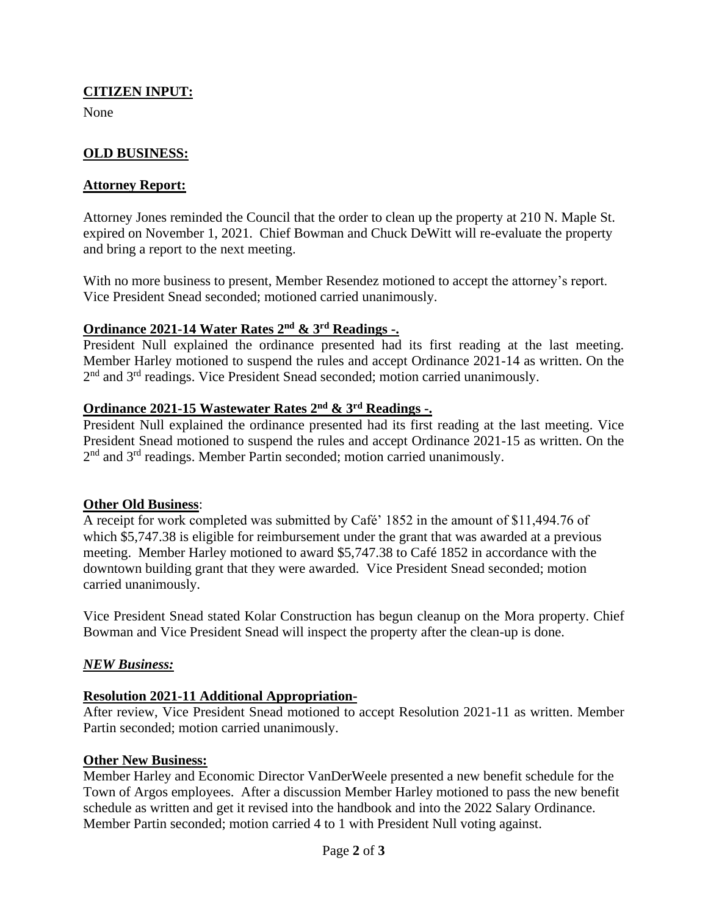# **CITIZEN INPUT:**

None

# **OLD BUSINESS:**

#### **Attorney Report:**

Attorney Jones reminded the Council that the order to clean up the property at 210 N. Maple St. expired on November 1, 2021. Chief Bowman and Chuck DeWitt will re-evaluate the property and bring a report to the next meeting.

With no more business to present, Member Resendez motioned to accept the attorney's report. Vice President Snead seconded; motioned carried unanimously.

## **Ordinance 2021-14 Water Rates 2nd & 3rd Readings -.**

President Null explained the ordinance presented had its first reading at the last meeting. Member Harley motioned to suspend the rules and accept Ordinance 2021-14 as written. On the 2<sup>nd</sup> and 3<sup>rd</sup> readings. Vice President Snead seconded; motion carried unanimously.

# **Ordinance 2021-15 Wastewater Rates 2nd & 3rd Readings -.**

President Null explained the ordinance presented had its first reading at the last meeting. Vice President Snead motioned to suspend the rules and accept Ordinance 2021-15 as written. On the 2<sup>nd</sup> and 3<sup>rd</sup> readings. Member Partin seconded; motion carried unanimously.

### **Other Old Business**:

A receipt for work completed was submitted by Café' 1852 in the amount of \$11,494.76 of which \$5,747.38 is eligible for reimbursement under the grant that was awarded at a previous meeting. Member Harley motioned to award \$5,747.38 to Café 1852 in accordance with the downtown building grant that they were awarded. Vice President Snead seconded; motion carried unanimously.

Vice President Snead stated Kolar Construction has begun cleanup on the Mora property. Chief Bowman and Vice President Snead will inspect the property after the clean-up is done.

### *NEW Business:*

### **Resolution 2021-11 Additional Appropriation-**

After review, Vice President Snead motioned to accept Resolution 2021-11 as written. Member Partin seconded; motion carried unanimously.

#### **Other New Business:**

Member Harley and Economic Director VanDerWeele presented a new benefit schedule for the Town of Argos employees. After a discussion Member Harley motioned to pass the new benefit schedule as written and get it revised into the handbook and into the 2022 Salary Ordinance. Member Partin seconded; motion carried 4 to 1 with President Null voting against.